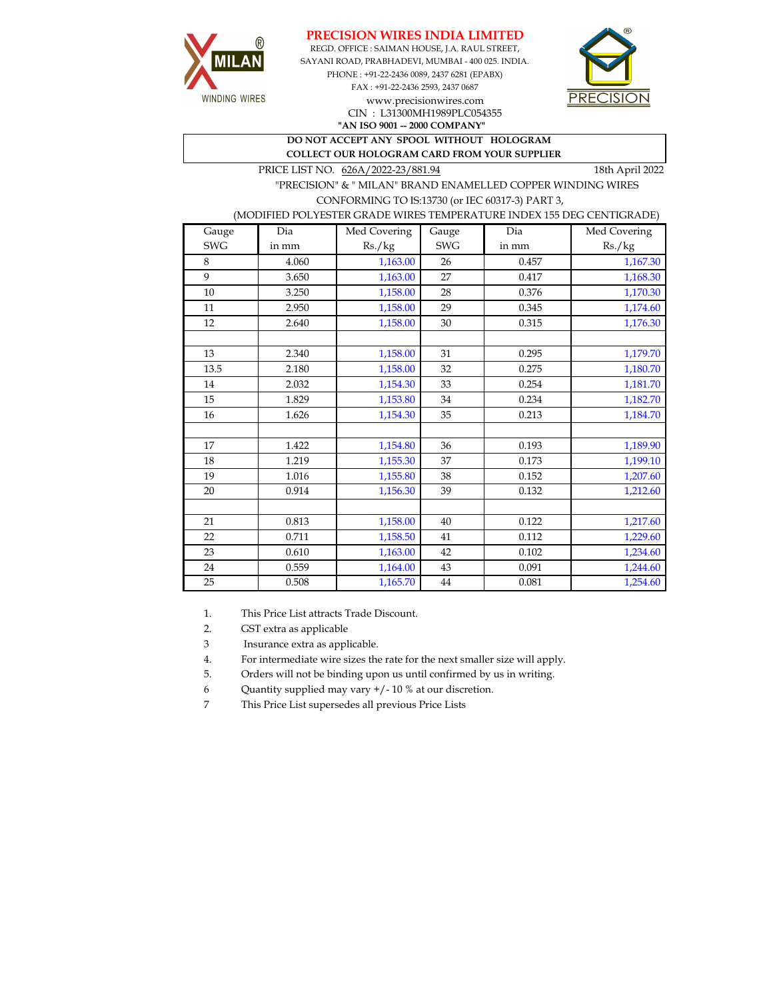





www.precisionwires.com CIN : L31300MH1989PLC054355

**"AN ISO 9001 -- 2000 COMPANY" DO NOT ACCEPT ANY SPOOL WITHOUT HOLOGRAM** 

 **COLLECT OUR HOLOGRAM CARD FROM YOUR SUPPLIER** 

PRICE LIST NO.  $626A/2022-23/881.94$  18th April 2022

 "PRECISION" & " MILAN" BRAND ENAMELLED COPPER WINDING WIRES CONFORMING TO IS:13730 (or IEC 60317-3) PART 3,

## (MODIFIED POLYESTER GRADE WIRES TEMPERATURE INDEX 155 DEG CENTIGRADE)

| Gauge      | Dia   | Med Covering | Gauge      | Dia   | Med Covering |
|------------|-------|--------------|------------|-------|--------------|
| <b>SWG</b> | in mm | Rs./kg       | <b>SWG</b> | in mm | Rs./kg       |
| 8          | 4.060 | 1,163.00     | 26         | 0.457 | 1,167.30     |
| 9          | 3.650 | 1,163.00     | 27         | 0.417 | 1,168.30     |
| 10         | 3.250 | 1,158.00     | 28         | 0.376 | 1,170.30     |
| 11         | 2.950 | 1,158.00     | 29         | 0.345 | 1,174.60     |
| 12         | 2.640 | 1,158.00     | 30         | 0.315 | 1,176.30     |
|            |       |              |            |       |              |
| 13         | 2.340 | 1,158.00     | 31         | 0.295 | 1,179.70     |
| 13.5       | 2.180 | 1,158.00     | 32         | 0.275 | 1,180.70     |
| 14         | 2.032 | 1,154.30     | 33         | 0.254 | 1,181.70     |
| 15         | 1.829 | 1,153.80     | 34         | 0.234 | 1,182.70     |
| 16         | 1.626 | 1,154.30     | 35         | 0.213 | 1,184.70     |
|            |       |              |            |       |              |
| 17         | 1.422 | 1,154.80     | 36         | 0.193 | 1,189.90     |
| 18         | 1.219 | 1,155.30     | 37         | 0.173 | 1,199.10     |
| 19         | 1.016 | 1,155.80     | 38         | 0.152 | 1,207.60     |
| 20         | 0.914 | 1,156.30     | 39         | 0.132 | 1,212.60     |
|            |       |              |            |       |              |
| 21         | 0.813 | 1,158.00     | 40         | 0.122 | 1,217.60     |
| 22         | 0.711 | 1,158.50     | 41         | 0.112 | 1,229.60     |
| 23         | 0.610 | 1,163.00     | 42         | 0.102 | 1,234.60     |
| 24         | 0.559 | 1,164.00     | 43         | 0.091 | 1,244.60     |
| 25         | 0.508 | 1,165.70     | 44         | 0.081 | 1,254.60     |

1. This Price List attracts Trade Discount.

2. GST extra as applicable

3 Insurance extra as applicable.

4. For intermediate wire sizes the rate for the next smaller size will apply.

5. Orders will not be binding upon us until confirmed by us in writing.

6 Quantity supplied may vary +/- 10 % at our discretion.

7 This Price List supersedes all previous Price Lists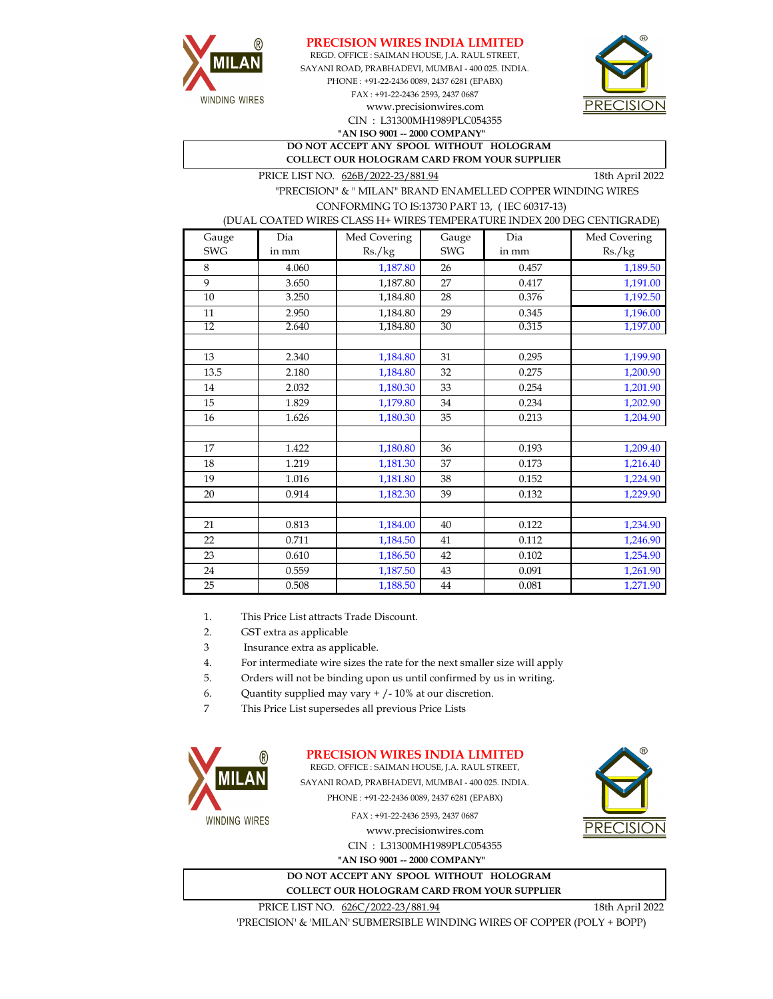



REGD. OFFICE : SAIMAN HOUSE, J.A. RAUL STREET, CIN : L31300MH1989PLC054355 SAYANI ROAD, PRABHADEVI, MUMBAI - 400 025. INDIA. PHONE : +91-22-2436 0089, 2437 6281 (EPABX) FAX : +91-22-2436 2593, 2437 0687 **"AN ISO 9001 -- 2000 COMPANY"** www.precisionwires.com



**DO NOT ACCEPT ANY SPOOL WITHOUT HOLOGRAM COLLECT OUR HOLOGRAM CARD FROM YOUR SUPPLIER** 

PRICE LIST NO. 626B/2022-23/881.94 18th April 2022

 "PRECISION" & " MILAN" BRAND ENAMELLED COPPER WINDING WIRES CONFORMING TO IS:13730 PART 13, ( IEC 60317-13)

(DUAL COATED WIRES CLASS H+ WIRES TEMPERATURE INDEX 200 DEG CENTIGRADE)

| Gauge      | Dia   | Med Covering | Gauge      | Dia   | Med Covering |
|------------|-------|--------------|------------|-------|--------------|
| <b>SWG</b> | in mm | Rs./kg       | <b>SWG</b> | in mm | Rs./kg       |
| 8          | 4.060 | 1,187.80     | 26         | 0.457 | 1,189.50     |
| 9          | 3.650 | 1,187.80     | 27         | 0.417 | 1,191.00     |
| 10         | 3.250 | 1,184.80     | 28         | 0.376 | 1,192.50     |
| 11         | 2.950 | 1,184.80     | 29         | 0.345 | 1,196.00     |
| 12         | 2.640 | 1,184.80     | 30         | 0.315 | 1,197.00     |
|            |       |              |            |       |              |
| 13         | 2.340 | 1,184.80     | 31         | 0.295 | 1,199.90     |
| 13.5       | 2.180 | 1,184.80     | 32         | 0.275 | 1,200.90     |
| 14         | 2.032 | 1,180.30     | 33         | 0.254 | 1,201.90     |
| 15         | 1.829 | 1,179.80     | 34         | 0.234 | 1,202.90     |
| 16         | 1.626 | 1,180.30     | 35         | 0.213 | 1,204.90     |
|            |       |              |            |       |              |
| 17         | 1.422 | 1,180.80     | 36         | 0.193 | 1,209.40     |
| 18         | 1.219 | 1,181.30     | 37         | 0.173 | 1,216.40     |
| 19         | 1.016 | 1,181.80     | 38         | 0.152 | 1,224.90     |
| 20         | 0.914 | 1,182.30     | 39         | 0.132 | 1,229.90     |
|            |       |              |            |       |              |
| 21         | 0.813 | 1,184.00     | 40         | 0.122 | 1,234.90     |
| 22         | 0.711 | 1,184.50     | 41         | 0.112 | 1,246.90     |
| 23         | 0.610 | 1,186.50     | 42         | 0.102 | 1,254.90     |
| 24         | 0.559 | 1,187.50     | 43         | 0.091 | 1,261.90     |
| 25         | 0.508 | 1,188.50     | 44         | 0.081 | 1,271.90     |

1. This Price List attracts Trade Discount.

2. GST extra as applicable

3 Insurance extra as applicable.

4. For intermediate wire sizes the rate for the next smaller size will apply

5. Orders will not be binding upon us until confirmed by us in writing.

6. Quantity supplied may vary + /- 10% at our discretion.

7 This Price List supersedes all previous Price Lists



**PRECISION WIRES INDIA LIMITED**

REGD. OFFICE : SAIMAN HOUSE, J.A. RAUL STREET, SAYANI ROAD, PRABHADEVI, MUMBAI - 400 025. INDIA. PHONE : +91-22-2436 0089, 2437 6281 (EPABX)

FAX : +91-22-2436 2593, 2437 0687

www.precisionwires.com CIN : L31300MH1989PLC054355 **"AN ISO 9001 -- 2000 COMPANY"**





PRICE LIST NO.  $626C/2022-23/881.94$  18th April 2022

'PRECISION' & 'MILAN' SUBMERSIBLE WINDING WIRES OF COPPER (POLY + BOPP)